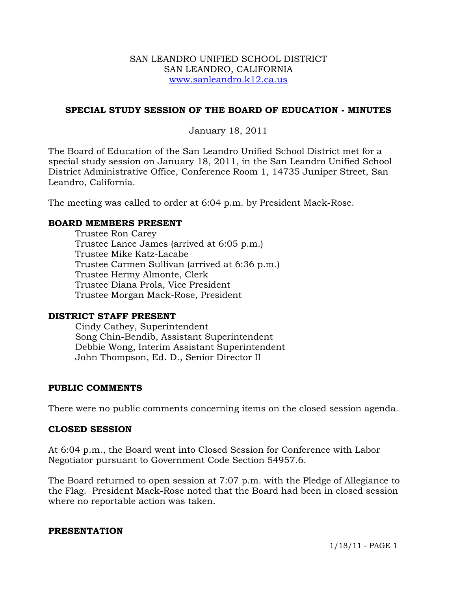### SAN LEANDRO UNIFIED SCHOOL DISTRICT SAN LEANDRO, CALIFORNIA www.sanleandro.k12.ca.us

## **SPECIAL STUDY SESSION OF THE BOARD OF EDUCATION - MINUTES**

January 18, 2011

The Board of Education of the San Leandro Unified School District met for a special study session on January 18, 2011, in the San Leandro Unified School District Administrative Office, Conference Room 1, 14735 Juniper Street, San Leandro, California.

The meeting was called to order at 6:04 p.m. by President Mack-Rose.

## **BOARD MEMBERS PRESENT**

Trustee Ron Carey Trustee Lance James (arrived at 6:05 p.m.) Trustee Mike Katz-Lacabe Trustee Carmen Sullivan (arrived at 6:36 p.m.) Trustee Hermy Almonte, Clerk Trustee Diana Prola, Vice President Trustee Morgan Mack-Rose, President

### **DISTRICT STAFF PRESENT**

Cindy Cathey, Superintendent Song Chin-Bendib, Assistant Superintendent Debbie Wong, Interim Assistant Superintendent John Thompson, Ed. D., Senior Director II

### **PUBLIC COMMENTS**

There were no public comments concerning items on the closed session agenda.

#### **CLOSED SESSION**

At 6:04 p.m., the Board went into Closed Session for Conference with Labor Negotiator pursuant to Government Code Section 54957.6.

The Board returned to open session at 7:07 p.m. with the Pledge of Allegiance to the Flag. President Mack-Rose noted that the Board had been in closed session where no reportable action was taken.

#### **PRESENTATION**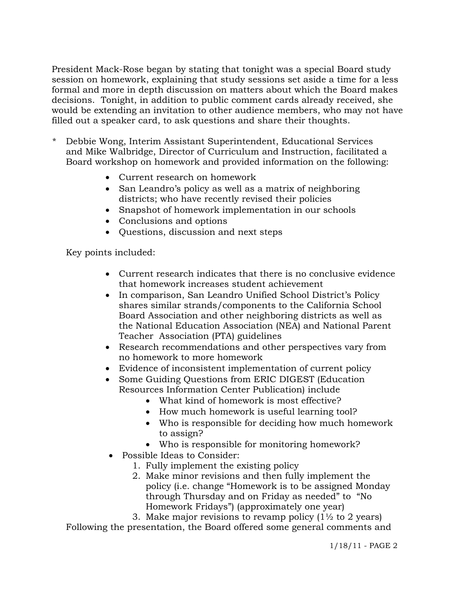President Mack-Rose began by stating that tonight was a special Board study session on homework, explaining that study sessions set aside a time for a less formal and more in depth discussion on matters about which the Board makes decisions. Tonight, in addition to public comment cards already received, she would be extending an invitation to other audience members, who may not have filled out a speaker card, to ask questions and share their thoughts.

- \* Debbie Wong, Interim Assistant Superintendent, Educational Services and Mike Walbridge, Director of Curriculum and Instruction, facilitated a Board workshop on homework and provided information on the following:
	- Current research on homework
	- San Leandro's policy as well as a matrix of neighboring districts; who have recently revised their policies
	- Snapshot of homework implementation in our schools
	- Conclusions and options
	- Questions, discussion and next steps

Key points included:

- Current research indicates that there is no conclusive evidence that homework increases student achievement
- In comparison, San Leandro Unified School District's Policy shares similar strands/components to the California School Board Association and other neighboring districts as well as the National Education Association (NEA) and National Parent Teacher Association (PTA) guidelines
- Research recommendations and other perspectives vary from no homework to more homework
- Evidence of inconsistent implementation of current policy
- Some Guiding Ouestions from ERIC DIGEST (Education Resources Information Center Publication) include
	- What kind of homework is most effective?
	- How much homework is useful learning tool?
	- Who is responsible for deciding how much homework to assign?
	- Who is responsible for monitoring homework?
- Possible Ideas to Consider:
	- 1. Fully implement the existing policy
	- 2. Make minor revisions and then fully implement the policy (i.e. change "Homework is to be assigned Monday through Thursday and on Friday as needed" to "No Homework Fridays") (approximately one year)

3. Make major revisions to revamp policy  $(1\frac{1}{2})$  to 2 years) Following the presentation, the Board offered some general comments and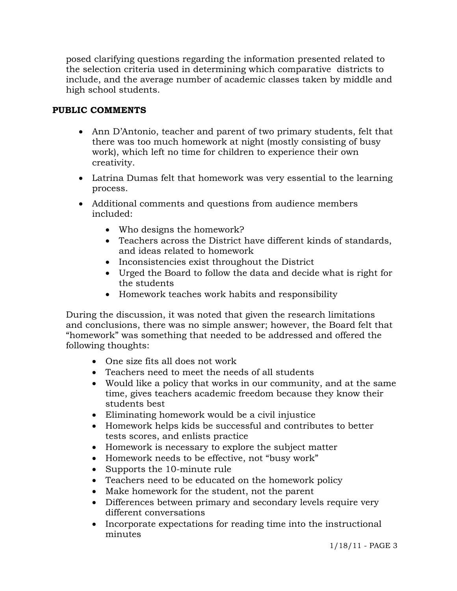posed clarifying questions regarding the information presented related to the selection criteria used in determining which comparative districts to include, and the average number of academic classes taken by middle and high school students.

# **PUBLIC COMMENTS**

- Ann D'Antonio, teacher and parent of two primary students, felt that there was too much homework at night (mostly consisting of busy work), which left no time for children to experience their own creativity.
- Latrina Dumas felt that homework was very essential to the learning process.
- Additional comments and questions from audience members included:
	- Who designs the homework?
	- Teachers across the District have different kinds of standards, and ideas related to homework
	- Inconsistencies exist throughout the District
	- Urged the Board to follow the data and decide what is right for the students
	- Homework teaches work habits and responsibility

 During the discussion, it was noted that given the research limitations and conclusions, there was no simple answer; however, the Board felt that "homework" was something that needed to be addressed and offered the following thoughts:

- One size fits all does not work
- Teachers need to meet the needs of all students
- Would like a policy that works in our community, and at the same time, gives teachers academic freedom because they know their students best
- Eliminating homework would be a civil injustice
- Homework helps kids be successful and contributes to better tests scores, and enlists practice
- Homework is necessary to explore the subject matter
- Homework needs to be effective, not "busy work"
- Supports the 10-minute rule
- Teachers need to be educated on the homework policy
- Make homework for the student, not the parent
- Differences between primary and secondary levels require very different conversations
- Incorporate expectations for reading time into the instructional minutes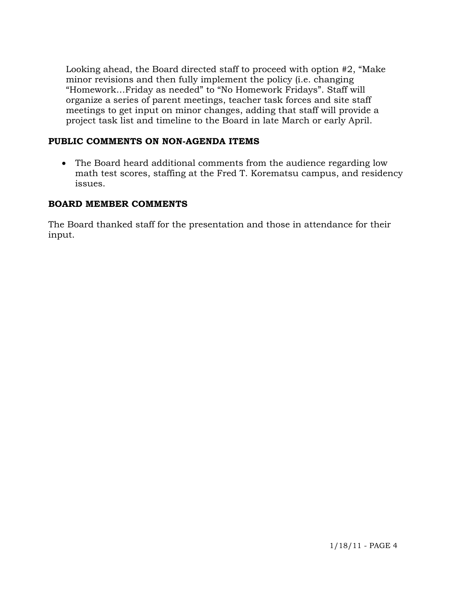Looking ahead, the Board directed staff to proceed with option #2, "Make minor revisions and then fully implement the policy (i.e. changing "Homework…Friday as needed" to "No Homework Fridays". Staff will organize a series of parent meetings, teacher task forces and site staff meetings to get input on minor changes, adding that staff will provide a project task list and timeline to the Board in late March or early April.

## **PUBLIC COMMENTS ON NON-AGENDA ITEMS**

 The Board heard additional comments from the audience regarding low math test scores, staffing at the Fred T. Korematsu campus, and residency issues.

## **BOARD MEMBER COMMENTS**

The Board thanked staff for the presentation and those in attendance for their input.